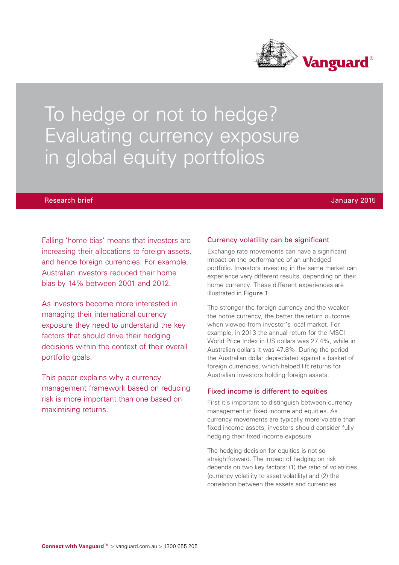

# To hedge or not to hedge? Evaluating currency exposure in global equity portfolios

## Research brief January 2015

Falling 'home bias' means that investors are increasing their allocations to foreign assets, and hence foreign currencies. For example, Australian investors reduced their home bias by 14% between 2001 and 2012.

As investors become more interested in managing their international currency exposure they need to understand the key factors that should drive their hedging decisions within the context of their overall portfolio goals.

This paper explains why a currency management framework based on reducing risk is more important than one based on maximising returns.

# Currency volatility can be significant

Exchange rate movements can have a significant impact on the performance of an unhedged portfolio. Investors investing in the same market can experience very different results, depending on their home currency. These different experiences are illustrated in Figure 1.

The stronger the foreign currency and the weaker the home currency, the better the return outcome when viewed from investor's local market. For example, in 2013 the annual return for the MSCI World Price Index in US dollars was 27.4%, while in Australian dollars it was 47.8%. During the period the Australian dollar depreciated against a basket of foreign currencies, which helped lift returns for Australian investors holding foreign assets.

## Fixed income is different to equities

First it's important to distinguish between currency management in fixed income and equities. As currency movements are typically more volatile than fixed income assets, investors should consider fully hedging their fixed income exposure.

The hedging decision for equities is not so straightforward. The impact of hedging on risk depends on two key factors: (1) the ratio of volatilities (currency volatility to asset volatility) and (2) the correlation between the assets and currencies.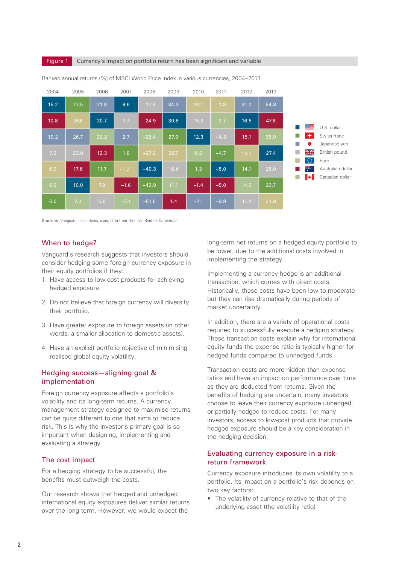#### **Figure 1** Currency's impact on portfolio return has been significant and variable



Ranked annual returns (%) of MSCI World Price Index in various currencies, 2004–2013

Sources: Vanguard calculations, using data from Thomson Reuters Datastream.

# When to hedge?

Vanguard's research suggests that investors should consider hedging some foreign currency exposure in their equity portfolios if they:

- 1. Have access to low-cost products for achieving hedged exposure.
- 2. Do not believe that foreign currency will diversify their portfolio.
- 3. Have greater exposure to foreign assets (in other words, a smaller allocation to domestic assets).
- 4. Have an explicit portfolio objective of minimising realised global equity volatility.

# Hedging success—aligning goal & implementation

Foreign currency exposure affects a portfolio's volatility and its long-term returns. A currency management strategy designed to maximise returns can be quite different to one that aims to reduce risk. This is why the investor's primary goal is so important when designing, implementing and evaluating a strategy.

# The cost impact

For a hedging strategy to be successful, the benefits must outweigh the costs.

Our research shows that hedged and unhedged international equity exposures deliver similar returns over the long term. However, we would expect the

long-term net returns on a hedged equity portfolio to be lower, due to the additional costs involved in implementing the strategy.

Implementing a currency hedge is an additional transaction, which comes with direct costs. Historically, these costs have been low to moderate but they can rise dramatically during periods of market uncertainty.

In addition, there are a variety of operational costs required to successfully execute a hedging strategy. These transaction costs explain why for international equity funds the expense ratio is typically higher for hedged funds compared to unhedged funds.

Transaction costs are more hidden than expense ratios and have an impact on performance over time as they are deducted from returns. Given the benefits of hedging are uncertain, many investors choose to leave their currency exposure unhedged, or partially hedged to reduce costs. For many investors, access to low-cost products that provide hedged exposure should be a key consideration in the hedging decision.

# Evaluating currency exposure in a riskreturn framework

Currency exposure introduces its own volatility to a portfolio. Its impact on a portfolio's risk depends on two key factors:

• The volatility of currency relative to that of the underlying asset (the volatility ratio)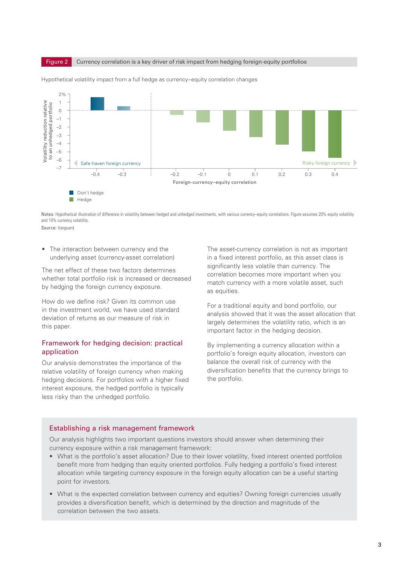



Hypothetical volatility impact from a full hedge as currency–equity correlation changes

Notes: Hypothetical illustration of difference in volatility between hedged and unhedged investments, with various currency–equity correlations. Figure assumes 20% equity volatility and 10% currency volatility.

Source: Vanguard.

• The interaction between currency and the underlying asset (currency-asset correlation)

The net effect of these two factors determines whether total portfolio risk is increased or decreased by hedging the foreign currency exposure.

How do we define risk? Given its common use in the investment world, we have used standard deviation of returns as our measure of risk in this paper.

# Framework for hedging decision: practical application

Our analysis demonstrates the importance of the relative volatility of foreign currency when making hedging decisions. For portfolios with a higher fixed interest exposure, the hedged portfolio is typically less risky than the unhedged portfolio.

The asset-currency correlation is not as important in a fixed interest portfolio, as this asset class is significantly less volatile than currency. The correlation becomes more important when you match currency with a more volatile asset, such as equities.

For a traditional equity and bond portfolio, our analysis showed that it was the asset allocation that largely determines the volatility ratio, which is an important factor in the hedging decision.

By implementing a currency allocation within a portfolio's foreign equity allocation, investors can balance the overall risk of currency with the diversification benefits that the currency brings to the portfolio.

# Establishing a risk management framework

Our analysis highlights two important questions investors should answer when determining their currency exposure within a risk management framework:

- What is the portfolio's asset allocation? Due to their lower volatility, fixed interest oriented portfolios benefit more from hedging than equity oriented portfolios. Fully hedging a portfolio's fixed interest allocation while targeting currency exposure in the foreign equity allocation can be a useful starting point for investors.
- What is the expected correlation between currency and equities? Owning foreign currencies usually provides a diversification benefit, which is determined by the direction and magnitude of the correlation between the two assets.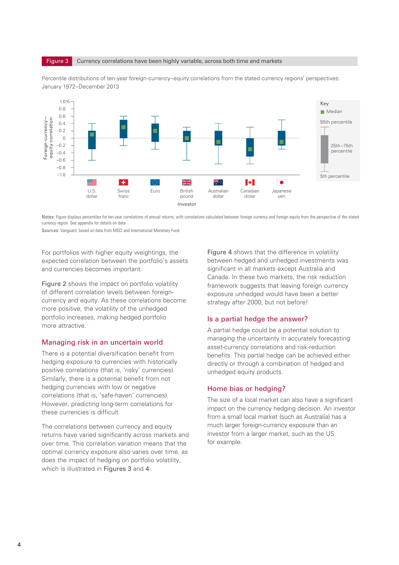



Percentile distributions of ten-year foreign-currency–equity correlations from the stated currency regions' perspectives: January 1972–December 2013

Notes: Figure displays percentiles for ten-year correlations of annual returns, with correlations calculated between foreign currency and foreign equity from the perspective of the stated currency region. See appendix for details on data.

Sources: Vanguard, based on data from MSCI and International Monetary Fund.

For portfolios with higher equity weightings, the expected correlation between the portfolio's assets and currencies becomes important.

Figure 2 shows the impact on portfolio volatility of different correlation levels between foreigncurrency and equity. As these correlations become more positive, the volatility of the unhedged portfolio increases, making hedged portfolio more attractive.

## Managing risk in an uncertain world

There is a potential diversification benefit from hedging exposure to currencies with historically positive correlations (that is, 'risky' currencies). Similarly, there is a potential benefit from not hedging currencies with low or negative correlations (that is, 'safe-haven' currencies). However, predicting long-term correlations for these currencies is difficult.

The correlations between currency and equity returns have varied significantly across markets and over time. This correlation variation means that the optimal currency exposure also varies over time, as does the impact of hedging on portfolio volatility, which is illustrated in Figures 3 and 4.

Figure 4 shows that the difference in volatility between hedged and unhedged investments was significant in all markets except Australia and Canada. In these two markets, the risk reduction framework suggests that leaving foreign currency exposure unhedged would have been a better strategy after 2000, but not before!

# Is a partial hedge the answer?

A partial hedge could be a potential solution to managing the uncertainty in accurately forecasting asset-currency correlations and risk-reduction benefits. This partial hedge can be achieved either directly or through a combination of hedged and unhedged equity products.

#### Home bias or hedging?

The size of a local market can also have a significant impact on the currency hedging decision. An investor from a small local market (such as Australia) has a much larger foreign-currency exposure than an investor from a larger market, such as the US for example.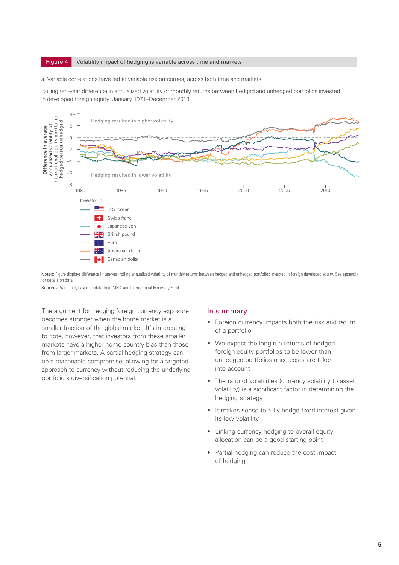#### **Figure 4** Volatility impact of hedging is variable across time and markets

#### a. Variable correlations have led to variable risk outcomes, across both time and markets

Rolling ten-year difference in annualized volatility of monthly returns between hedged and unhedged portfolios invested in developed foreign equity: January 1971–December 2013



Notes: Figure displays difference in ten-year rolling annualized volatility of monthly returns between hedged and unhedged portfolios invested in foreign developed equity. See appendix for details on data.

Sources: Vanguard, based on data from MSCI and International Monetary Fund.

The argument for hedging foreign currency exposure becomes stronger when the home market is a smaller fraction of the global market. It's interesting to note, however, that investors from these smaller markets have a higher home country bias than those from larger markets. A partial hedging strategy can be a reasonable compromise, allowing for a targeted approach to currency without reducing the underlying portfolio's diversification potential.

#### In summary

- Foreign currency impacts both the risk and return of a portfolio
- We expect the long-run returns of hedged foreign-equity portfolios to be lower than unhedged portfolios once costs are taken into account
- The ratio of volatilities (currency volatility to asset volatility) is a significant factor in determining the hedging strategy
- It makes sense to fully hedge fixed interest given its low volatility
- Linking currency hedging to overall equity allocation can be a good starting point
- Partial hedging can reduce the cost impact of hedging